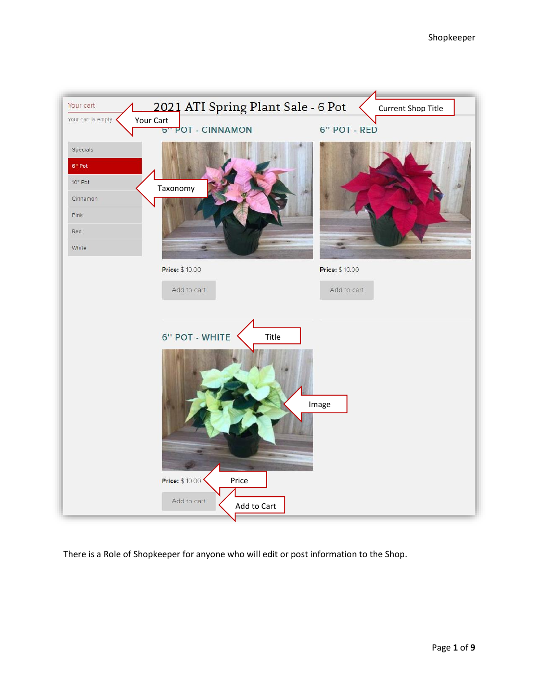

There is a Role of Shopkeeper for anyone who will edit or post information to the Shop.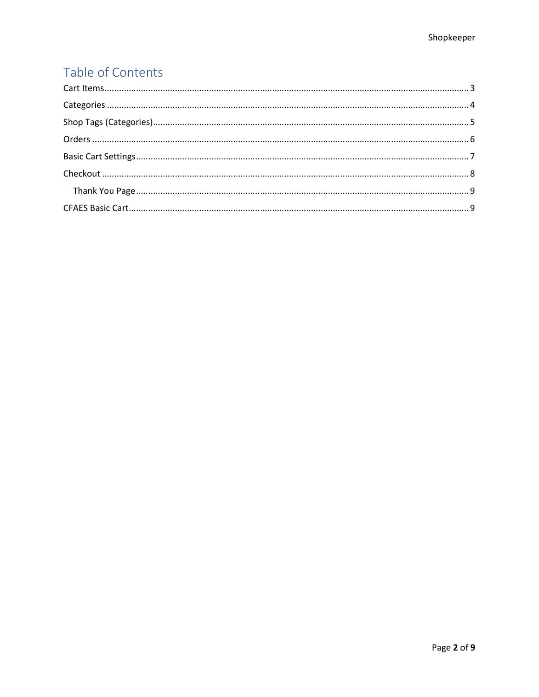# Table of Contents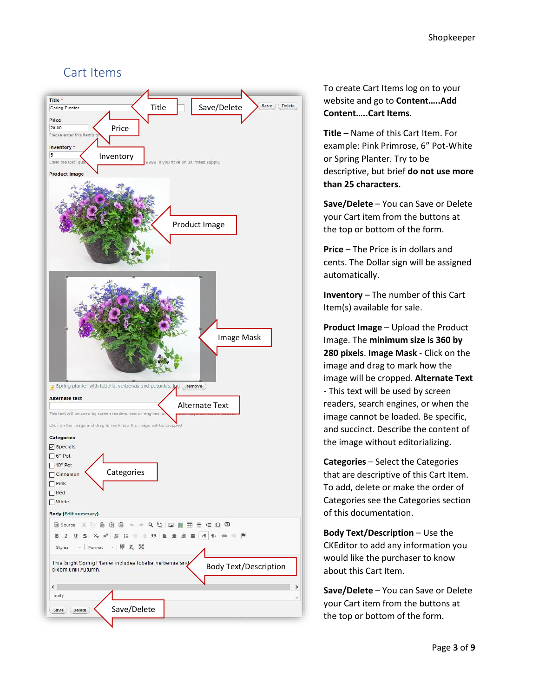### <span id="page-2-0"></span>Cart Items



To create Cart Items log on to your website and go to **Content…..Add Content…..Cart Items**.

**Title** – Name of this Cart Item. For example: Pink Primrose, 6" Pot-White or Spring Planter. Try to be descriptive, but brief **do not use more than 25 characters.**

**Save/Delete** – You can Save or Delete your Cart item from the buttons at the top or bottom of the form.

**Price** – The Price is in dollars and cents. The Dollar sign will be assigned automatically.

**Inventory** – The number of this Cart Item(s) available for sale.

**Product Image** – Upload the Product Image. The **minimum size is 360 by 280 pixels**. **Image Mask** - Click on the image and drag to mark how the image will be cropped. **Alternate Text** - This text will be used by screen readers, search engines, or when the image cannot be loaded. Be specific, and succinct. Describe the content of the image without editorializing.

**Categories** – Select the Categories that are descriptive of this Cart Item. To add, delete or make the order of Categories see the Categories section of this documentation.

**Body Text/Description** – Use the CKEditor to add any information you would like the purchaser to know about this Cart Item.

**Save/Delete** – You can Save or Delete your Cart item from the buttons at the top or bottom of the form.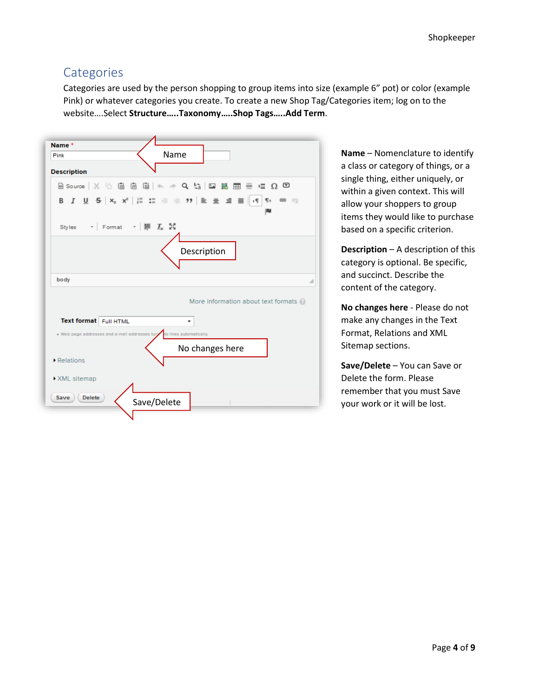## <span id="page-3-0"></span>**Categories**

Categories are used by the person shopping to group items into size (example 6" pot) or color (example Pink) or whatever categories you create. To create a new Shop Tag/Categories item; log on to the website….Select **Structure…..Taxonomy…..Shop Tags…..Add Term**.



**Name** – Nomenclature to identify a class or category of things, or a single thing, either uniquely, or within a given context. This will allow your shoppers to group items they would like to purchase based on a specific criterion.

**Description** – A description of this category is optional. Be specific, and succinct. Describe the content of the category.

**No changes here** - Please do not make any changes in the Text Format, Relations and XML Sitemap sections.

**Save/Delete** – You can Save or Delete the form. Please remember that you must Save your work or it will be lost.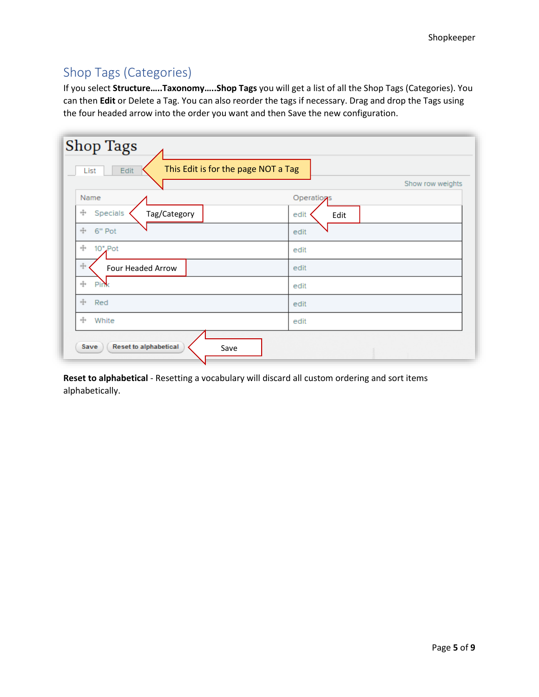## <span id="page-4-0"></span>Shop Tags (Categories)

If you select **Structure…..Taxonomy…..Shop Tags** you will get a list of all the Shop Tags (Categories). You can then **Edit** or Delete a Tag. You can also reorder the tags if necessary. Drag and drop the Tags using the four headed arrow into the order you want and then Save the new configuration.

| <b>Shop Tags</b>                                    |                  |  |  |  |  |
|-----------------------------------------------------|------------------|--|--|--|--|
| This Edit is for the page NOT a Tag<br>Edit<br>List |                  |  |  |  |  |
|                                                     | Show row weights |  |  |  |  |
| Name                                                | Operations       |  |  |  |  |
| ÷<br>Specials<br>Tag/Category                       | edit<br>Edit     |  |  |  |  |
| 4<br>6" Pot                                         | edit             |  |  |  |  |
| ÷<br>10" Pot                                        | edit             |  |  |  |  |
| ÷<br>Four Headed Arrow                              | edit             |  |  |  |  |
| $+\!\frac{\pi}{4}+$<br>Pi                           | edit             |  |  |  |  |
| ÷<br>Red                                            | edit             |  |  |  |  |
| ÷<br>White                                          | edit             |  |  |  |  |
| <b>Reset to alphabetical</b><br>Save<br>Save        |                  |  |  |  |  |

**Reset to alphabetical** - Resetting a vocabulary will discard all custom ordering and sort items alphabetically.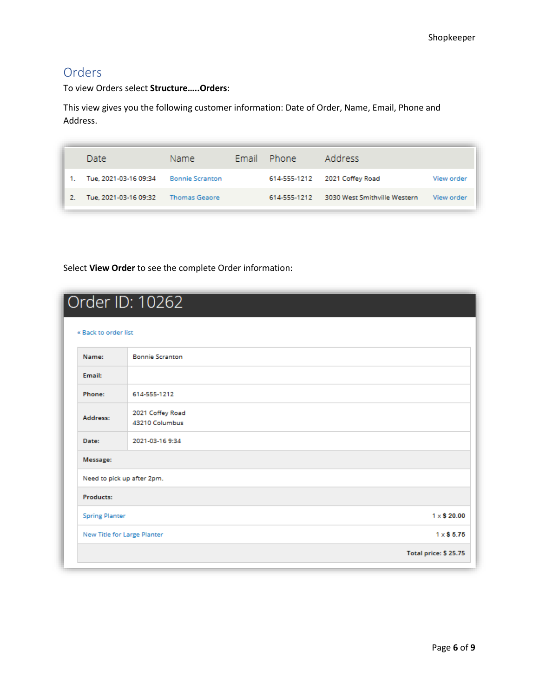## <span id="page-5-0"></span>Orders

To view Orders select **Structure…..Orders**:

This view gives you the following customer information: Date of Order, Name, Email, Phone and Address.

| Date                  | Name.                  | Email Phone  | Address                      |            |
|-----------------------|------------------------|--------------|------------------------------|------------|
| Tue, 2021-03-16 09:34 | <b>Bonnie Scranton</b> | 614-555-1212 | 2021 Coffey Road             | View order |
| Tue, 2021-03-16 09:32 | <b>Thomas Geaore</b>   | 614-555-1212 | 3030 West Smithville Western | View order |

Select **View Order** to see the complete Order information:

| « Back to order list        |                                    |                      |
|-----------------------------|------------------------------------|----------------------|
| Name:                       | <b>Bonnie Scranton</b>             |                      |
| Email:                      |                                    |                      |
| Phone:                      | 614-555-1212                       |                      |
| Address:                    | 2021 Coffey Road<br>43210 Columbus |                      |
| Date:                       | 2021-03-16 9:34                    |                      |
| Message:                    |                                    |                      |
|                             | Need to pick up after 2pm.         |                      |
| Products:                   |                                    |                      |
| <b>Spring Planter</b>       |                                    | $1 \times $20.00$    |
| New Title for Large Planter |                                    | $1 \times$ \$5.75    |
|                             |                                    | Total price: \$25.75 |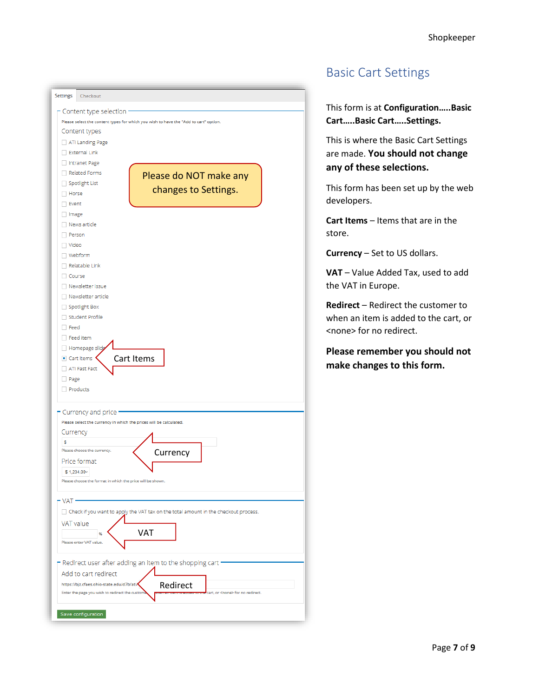

## <span id="page-6-0"></span>Basic Cart Settings

This form is at **Configuration…..Basic Cart…..Basic Cart…..Settings.**

This is where the Basic Cart Settings are made. **You should not change any of these selections.**

This form has been set up by the web developers.

**Cart Items** – Items that are in the store.

**Currency** – Set to US dollars.

**VAT** – Value Added Tax, used to add the VAT in Europe.

**Redirect** – Redirect the customer to when an item is added to the cart, or <none> for no redirect.

**Please remember you should not**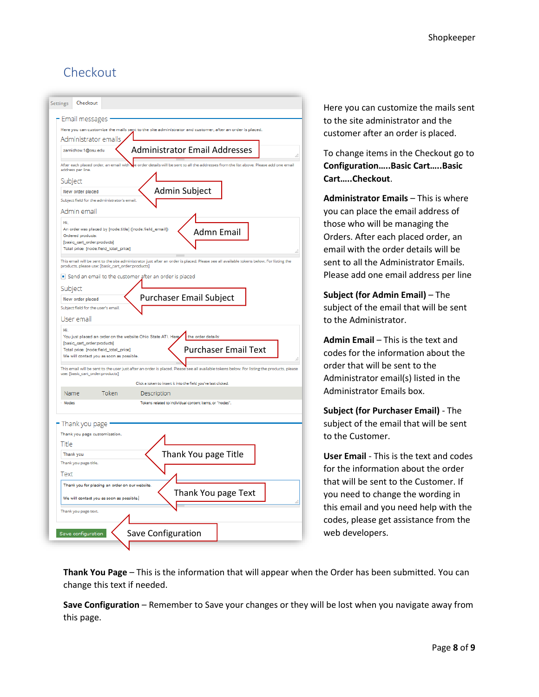## <span id="page-7-0"></span>Checkout



Here you can customize the mails sent to the site administrator and the customer after an order is placed.

To change items in the Checkout go to **Configuration…..Basic Cart…..Basic Cart…..Checkout**.

**Administrator Emails** – This is where you can place the email address of those who will be managing the Orders. After each placed order, an email with the order details will be sent to all the Administrator Emails. Please add one email address per line

**Subject (for Admin Email)** – The subject of the email that will be sent to the Administrator.

**Admin Email** – This is the text and codes for the information about the order that will be sent to the Administrator email(s) listed in the Administrator Emails box.

**Subject (for Purchaser Email)** - The subject of the email that will be sent to the Customer.

**User Email** - This is the text and codes for the information about the order that will be sent to the Customer. If you need to change the wording in this email and you need help with the codes, please get assistance from the web developers.

**Thank You Page** – This is the information that will appear when the Order has been submitted. You can change this text if needed.

**Save Configuration** – Remember to Save your changes or they will be lost when you navigate away from this page.